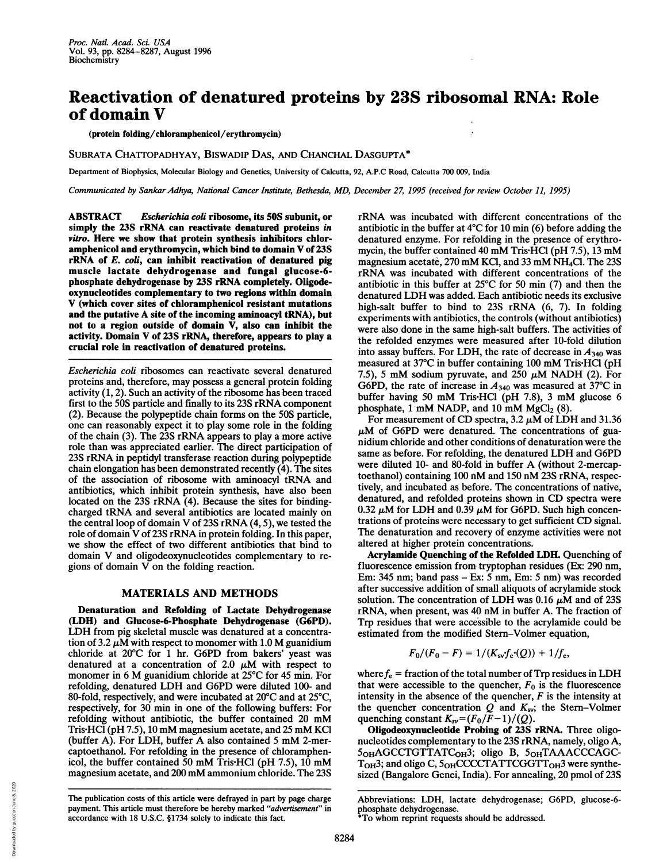## Reactivation of denatured proteins by 23S ribosomal RNA: Role of domain V

(protein folding/chloramphenicol/erythromycin)

SUBRATA CHATTOPADHYAY, BISWADIP DAS, AND CHANCHAL DASGUPTA\*

Department of Biophysics, Molecular Biology and Genetics, University of Calcutta, 92, A.P.C Road, Calcutta 700 009, India

Communicated by Sankar Adhya, National Cancer Institute, Bethesda, MD, December 27, 1995 (received for review October 11, 1995)

ABSTRACT Escherichia coil ribosome, its 50S subunit, or simply the 23S rRNA can reactivate denatured proteins in vitro. Here we show that protein synthesis inhibitors chloramphenicol and erythromycin, which bind to domain V of 23S rRNA of E. coli, can inhibit reactivation of denatured pig muscle lactate dehydrogenase and fungal glucose-6 phosphate dehydrogenase by 23S rRNA completely. Oligodeoxynucleotides complementary to two regions within domain V (which cover sites of chloramphenicol resistant mutations and the putative A site of the incoming aminoacyl tRNA), but not to a region outside of domain V, also can inhibit the activity. Domain V of 23S rRNA, therefore, appears to play a crucial role in reactivation of denatured proteins.

Escherichia coli ribosomes can reactivate several denatured proteins and, therefore, may possess a general protein folding activity (1, 2). Such an activity of the ribosome has been traced first to the 50S particle and finally to its 23S rRNA component (2). Because the polypeptide chain forms on the 50S particle, one can reasonably expect it to play some role in the folding of the chain (3). The 23S rRNA appears to play <sup>a</sup> more active role than was appreciated earlier. The direct participation of 23S rRNA in peptidyl transferase reaction during polypeptide chain elongation has been demonstrated recently (4). The sites of the association of ribosome with aminoacyl tRNA and antibiotics, which inhibit protein synthesis, have also been located on the 23S rRNA (4). Because the sites for bindingcharged tRNA and several antibiotics are located mainly on the central loop of domain V of 23S rRNA (4, 5), we tested the role of domain V of 23S rRNA in protein folding. In this paper, we show the effect of two different antibiotics that bind to domain V and oligodeoxynucleotides complementary to regions of domain  $V$  on the folding reaction.

## MATERIALS AND METHODS

Denaturation and Refolding of Lactate Dehydrogenase (LDH) and Glucose-6-Phosphate Dehydrogenase (G6PD). LDH from pig skeletal muscle was denatured at <sup>a</sup> concentration of 3.2  $\mu$ M with respect to monomer with 1.0 M guanidium chloride at 20°C for <sup>1</sup> hr. G6PD from bakers' yeast was denatured at a concentration of 2.0  $\mu$ M with respect to monomer in <sup>6</sup> M guanidium chloride at 25°C for <sup>45</sup> min. For refolding, denatured LDH and G6PD were diluted 100- and 80-fold, respectively, and were incubated at 20'C and at 25°C, respectively, for 30 min in one of the following buffers: For refolding without antibiotic, the buffer contained <sup>20</sup> mM Tris HCI (pH 7.5), <sup>10</sup> mM magnesium acetate, and <sup>25</sup> mM KCl (buffer A). For LDH, buffer A also contained <sup>5</sup> mM 2-mercaptoethanol. For refolding in the presence of chloramphenicol, the buffer contained <sup>50</sup> mM Tris HCl (pH 7.5), <sup>10</sup> mM magnesium acetate, and <sup>200</sup> mM ammonium chloride. The 23S

The publication costs of this article were defrayed in part by page charge payment. This article must therefore be hereby marked "advertisement" in accordance with 18 U.S.C. §1734 solely to indicate this fact.

rRNA was incubated with different concentrations of the antibiotic in the buffer at 4°C for 10 min (6) before adding the denatured enzyme. For refolding in the presence of erythromycin, the buffer contained 40 mM Tris HCl (pH 7.5), 13 mM magnesium acetate, <sup>270</sup> mM KCl, and <sup>33</sup> mM NH4Cl. The 23S rRNA was incubated with different concentrations of the antibiotic in this buffer at 25°C for 50 min (7) and then the denatured LDH was added. Each antibiotic needs its exclusive high-salt buffer to bind to 23S rRNA (6, 7). In folding experiments with antibiotics, the controls (without antibiotics) were also done in the same high-salt buffers. The activities of the refolded enzymes were measured after 10-fold dilution into assay buffers. For LDH, the rate of decrease in  $A_{340}$  was measured at 37°C in buffer containing <sup>100</sup> mM Tris HCl (pH 7.5), 5 mM sodium pyruvate, and 250  $\mu$ M NADH (2). For G6PD, the rate of increase in  $A_{340}$  was measured at 37°C in buffer having <sup>50</sup> mM Tris-HCl (pH 7.8), <sup>3</sup> mM glucose <sup>6</sup> phosphate, 1 mM NADP, and 10 mM  $MgCl<sub>2</sub>$  (8).

For measurement of CD spectra,  $3.2 \mu M$  of LDH and  $31.36$  $\mu$ M of G6PD were denatured. The concentrations of guanidium chloride and other conditions of denaturation were the same as before. For refolding, the denatured LDH and G6PD were diluted 10- and 80-fold in buffer A (without 2-mercaptoethanol) containing <sup>100</sup> nM and <sup>150</sup> nM 23S rRNA, respectively, and incubated as before. The concentrations of native, denatured, and refolded proteins shown in CD spectra were 0.32  $\mu$ M for LDH and 0.39  $\mu$ M for G6PD. Such high concentrations of proteins were necessary to get sufficient CD signal. The denaturation and recovery of enzyme activities were not altered at higher protein concentrations.

Acrylamide Quenching of the Refolded LDH. Quenching of fluorescence emission from tryptophan residues (Ex: 290 nm, Em: 345 nm; band pass - Ex: 5 nm, Em: <sup>5</sup> nm) was recorded after successive addition of small aliquots of acrylamide stock solution. The concentration of LDH was 0.16  $\mu$ M and of 23S rRNA, when present, was <sup>40</sup> nM in buffer A. The fraction of Trp residues that were accessible to the acrylamide could be estimated from the modified Stern-Volmer equation,

$$
F_0/(F_0 - F) = 1/(K_{\rm sv} f_{\rm e} (Q)) + 1/f_{\rm e},
$$

where  $f_e$  = fraction of the total number of Trp residues in LDH that were accessible to the quencher,  $F_0$  is the fluorescence intensity in the absence of the quencher,  $F$  is the intensity at the quencher concentration  $Q$  and  $K_{sv}$ ; the Stern-Volmer quenching constant  $K_{sv} = (F_0/F-1)/(Q)$ .

Oligodeoxynucleotide Probing of 23S rRNA. Three oligonucleotides complementary to the 23S rRNA, namely, oligo A, 5<sub>OH</sub>AGCCTGTTATC<sub>OH</sub>3; oligo B, 5<sub>OH</sub>TAAACCCAGC- $T<sub>OH</sub>3$ ; and oligo C,  $5<sub>OH</sub>CCCTATTCGGTT<sub>OH</sub>3$  were synthesized (Bangalore Genei, India). For annealing, 20 pmol of 23S

Abbreviations: LDH, lactate dehydrogenase; G6PD, glucose-6 phosphate dehydrogenase. \*To whom reprint requests should be addressed.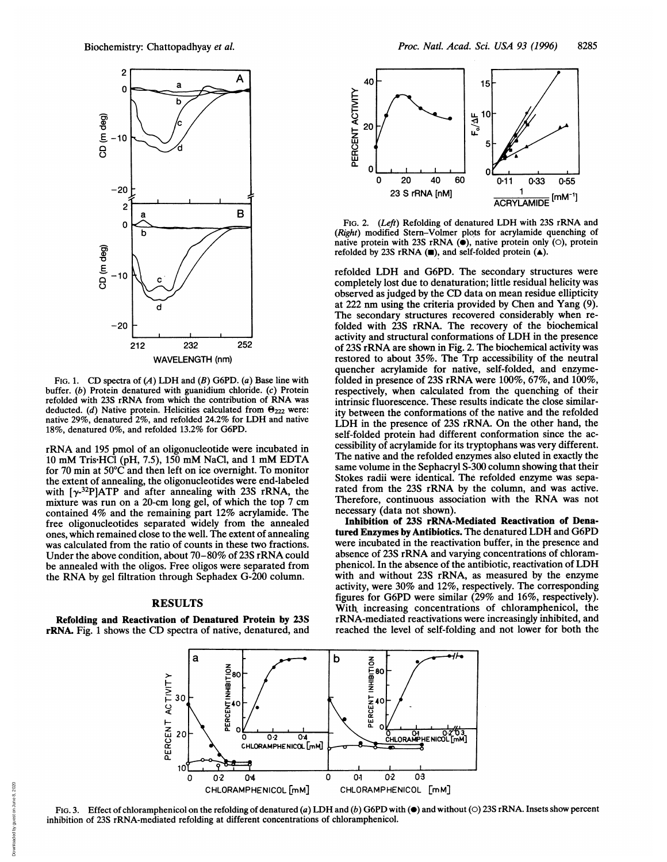

FIG. 1. CD spectra of  $(A)$  LDH and  $(B)$  G6PD.  $(a)$  Base line with buffer. (b) Protein denatured with guanidium chloride. (c) Protein refolded with 23S rRNA from which the contribution of RNA was deducted. (d) Native protein. Helicities calculated from  $\Theta_{222}$  were: native 29%, denatured 2%, and refolded 24.2% for LDH and native 18%, denatured 0%, and refolded 13.2% for G6PD.

rRNA and <sup>195</sup> pmol of an oligonucleotide were incubated in <sup>10</sup> mM Tris HCl (pH, 7.5), <sup>150</sup> mM NaCl, and <sup>1</sup> mM EDTA for 70 min at 50°C and then left on ice overnight. To monitor the extent of annealing, the oligonucleotides were end-labeled with  $[\gamma^{32}P]ATP$  and after annealing with 23S rRNA, the mixture was run on a 20-cm long gel, of which the top 7 cm contained 4% and the remaining part 12% acrylamide. The free oligonucleotides separated widely from the annealed ones, which remained close to the well. The extent of annealing was calculated from the ratio of counts in these two fractions. Under the above condition, about 70-80% of 23S rRNA could be annealed with the oligos. Free oligos were separated from the RNA by gel filtration through Sephadex G-200 column.

## RESULTS

Refolding and Reactivation of Denatured Protein by 23S rRNA. Fig. <sup>1</sup> shows the CD spectra of native, denatured, and



FIG. 2. (Left) Refolding of denatured LDH with 23S rRNA and (Right) modified Stern-Volmer plots for acrylamide quenching of native protein with 23S rRNA  $(\bullet)$ , native protein only  $(\circ)$ , protein refolded by 23S rRNA  $(\blacksquare)$ , and self-folded protein  $(\blacktriangle)$ .

refolded LDH and G6PD. The secondary structures were completely lost due to denaturation; little residual helicity was observed as judged by the CD data on mean residue ellipticity at 222 nm using the criteria provided by Chen and Yang (9). The secondary structures recovered considerably when refolded with 23S rRNA. The recovery of the biochemical activity and structural conformations of LDH in the presence of 23S rRNA are shown in Fig. 2. The biochemical activity was restored to about 35%. The Trp accessibility of the neutral quencher acrylamide for native, self-folded, and enzymefolded in presence of 23S rRNA were 100%, 67%, and 100%, respectively, when calculated from the quenching of their intrinsic fluorescence. These results indicate the close similarity between the conformations of the native and the refolded LDH in the presence of 23S rRNA. On the other hand, the self-folded protein had different conformation since the accessibility of acrylamide for its tryptophans was very different. The native and the refolded enzymes also eluted in exactly the same volume in the Sephacryl S-300 column showing that their Stokes radii were identical. The refolded enzyme was separated from the 23S rRNA by the column, and was active. Therefore, continuous association with the RNA was not necessary (data not shown).

Inhibition of 23S rRNA-Mediated Reactivation of Denatured Enzymes by Antibiotics. The denatured LDH and G6PD were incubated in the reactivation buffer, in the presence and absence of 23S rRNA and varying concentrations of chloramphenicol. In the absence of the antibiotic, reactivation of LDH with and without 23S rRNA, as measured by the enzyme activity, were 30% and 12%, respectively. The corresponding figures for G6PD were similar (29% and 16%, respectively). With increasing concentrations of chloramphenicol, the rRNA-mediated reactivations were increasingly inhibited, and reached the level of self-folding and not lower for both the



FIG. 3. Effect of chloramphenicol on the refolding of denatured (a) LDH and (b) G6PD with ( $\bullet$ ) and without ( $\circ$ ) 23S rRNA. Insets show percent inhibition of 23S rRNA-mediated refolding at different concentrations of chloramphenicol.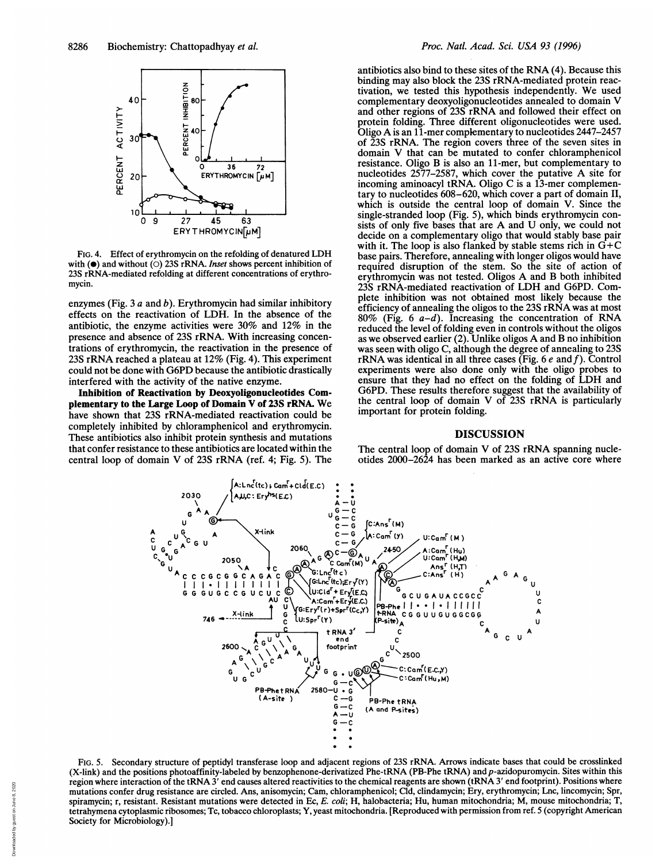

FIG. 4. Effect of erythromycin on the refolding of denatured LDH with  $(\bullet)$  and without  $(\circ)$  23S rRNA. Inset shows percent inhibition of 23S rRNA-mediated refolding at different concentrations of erythromycin.

enzymes (Fig.  $3a$  and b). Erythromycin had similar inhibitory effects on the reactivation of LDH. In the absence of the antibiotic, the enzyme activities were 30% and 12% in the presence and absence of 23S rRNA. With increasing concentrations of erythromycin, the reactivation in the presence of 23S rRNA reached <sup>a</sup> plateau at 12% (Fig. 4). This experiment could not be done with G6PD because the antibiotic drastically interfered with the activity of the native enzyme.

Inhibition of Reactivation by Deoxyoligonucleotides Complementary to the Large Loop of Domain V of 23S rRNA. We have shown that 23S rRNA-mediated reactivation could be completely inhibited by chloramphenicol and erythromycin. These antibiotics also inhibit protein synthesis and mutations that confer resistance to these antibiotics are located within the central loop of domain V of 23S rRNA (ref. 4; Fig. 5). The antibiotics also bind to these sites of the RNA (4). Because this binding may also block the 23S rRNA-mediated protein reactivation, we tested this hypothesis independently. We used complementary deoxyoligonucleotides annealed to domain V and other regions of 23S rRNA and followed their effect on protein folding. Three different oligonucleotides were used. Oligo A is an 11-mer complementary to nucleotides 2447-2457 of 23S rRNA. The region covers three of the seven sites in domain V that can be mutated to confer chloramphenicol resistance. Oligo B is also an 11-mer, but complementary to nucleotides 2577-2587, which cover the putative A site for incoming aminoacyl tRNA. Oligo C is <sup>a</sup> 13-mer complementary to nucleotides 608-620, which cover a part of domain II, which is outside the central loop of domain V. Since the single-stranded loop (Fig. 5), which binds erythromycin consists of only five bases that are A and U only, we could not decide on a complementary oligo that would stably base pair with it. The loop is also flanked by stable stems rich in  $G+C$ base pairs. Therefore, annealing with longer oligos would have required disruption of the stem. So the site of action of erythromycin was not tested. Oligos A and B both inhibited 23S rRNA-mediated reactivation of LDH and G6PD. Complete inhibition was not obtained most likely because the efficiency of annealing the oligos to the 23S rRNA was at most 80% (Fig. 6  $a-d$ ). Increasing the concentration of RNA reduced the level of folding even in controls without the oligos as we observed earlier (2). Unlike oligos A and B no inhibition was seen with oligo C, although the degree of annealing to 23S rRNA was identical in all three cases (Fig. 6  $e$  and  $f$ ). Control experiments were also done only with the oligo probes to ensure that they had no effect on the folding of LDH and G6PD. These results therefore suggest that the availability of the central loop of domain V of 23S rRNA is particularly important for protein folding.

## DISCUSSION

The central loop of domain V of 23S rRNA spanning nucleotides 2000-2624 has been marked as an active core where



FIG. 5. Secondary structure of peptidyl transferase loop and adjacent regions of 23S rRNA. Arrows indicate bases that could be crosslinked (X-link) and the positions photoaffinity-labeled by benzophenone-derivatized Phe-tRNA (PB-Phe tRNA) andp-azidopuromycin. Sites within this region where interaction of the tRNA <sup>3</sup>' end causes altered reactivities to the chemical reagents are shown (tRNA <sup>3</sup>' end footprint). Positions where mutations confer drug resistance are circled. Ans, anisomycin; Cam, chloramphenicol; Cld, clindamycin; Ery, erythromycin; Lnc, lincomycin; Spr, spiramycin; r, resistant. Resistant mutations were detected in Ec, E. coli; H, halobacteria; Hu, human mitochondria; M, mouse mitochondria; T, tetrahymena cytoplasmic ribosomes; Tc, tobacco chloroplasts; Y, yeast mitochondria. [Reproduced with permission from ref. 5 (copyright American Society for Microbiology).]